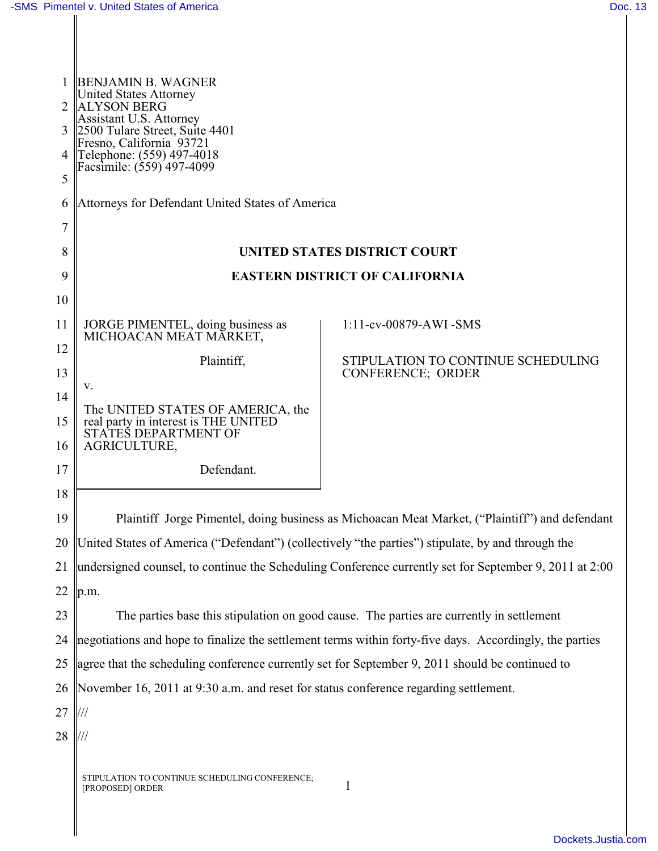|    | <b>BENJAMIN B. WAGNER</b>                                                                               |                                                                |  |  |  |
|----|---------------------------------------------------------------------------------------------------------|----------------------------------------------------------------|--|--|--|
|    | <b>United States Attorney</b><br><b>ALYSON BERG</b>                                                     |                                                                |  |  |  |
| 3  | Assistant U.S. Attorney<br>2500 Tulare Street, Suite 4401                                               |                                                                |  |  |  |
| 4  | Fresno, California <sup>93721</sup><br>Telephone: (559) 497-4018                                        |                                                                |  |  |  |
| 5  | Facsimile: (559) 497-4099                                                                               |                                                                |  |  |  |
| 6  | Attorneys for Defendant United States of America                                                        |                                                                |  |  |  |
| 7  |                                                                                                         |                                                                |  |  |  |
| 8  | <b>UNITED STATES DISTRICT COURT</b>                                                                     |                                                                |  |  |  |
| 9  | <b>EASTERN DISTRICT OF CALIFORNIA</b>                                                                   |                                                                |  |  |  |
| 10 |                                                                                                         |                                                                |  |  |  |
| 11 | JORGE PIMENTEL, doing business as                                                                       | 1:11-cv-00879-AWI -SMS                                         |  |  |  |
| 12 | MICHOACAN MEAT MĀRKET,                                                                                  |                                                                |  |  |  |
| 13 | Plaintiff,                                                                                              | STIPULATION TO CONTINUE SCHEDULING<br><b>CONFERENCE; ORDER</b> |  |  |  |
| 14 | V.                                                                                                      |                                                                |  |  |  |
| 15 | The UNITED STATES OF AMERICA, the<br>real party in interest is THE UNITED<br>STATES DEPARTMENT OF       |                                                                |  |  |  |
| 16 | AGRICULTURE,                                                                                            |                                                                |  |  |  |
| 17 | Defendant.                                                                                              |                                                                |  |  |  |
| 18 |                                                                                                         |                                                                |  |  |  |
| 19 | Plaintiff Jorge Pimentel, doing business as Michoacan Meat Market, ("Plaintiff") and defendant          |                                                                |  |  |  |
| 20 | United States of America ("Defendant") (collectively "the parties") stipulate, by and through the       |                                                                |  |  |  |
| 21 | undersigned counsel, to continue the Scheduling Conference currently set for September 9, 2011 at 2:00  |                                                                |  |  |  |
| 22 | p.m.                                                                                                    |                                                                |  |  |  |
| 23 | The parties base this stipulation on good cause. The parties are currently in settlement                |                                                                |  |  |  |
| 24 | negotiations and hope to finalize the settlement terms within forty-five days. Accordingly, the parties |                                                                |  |  |  |
| 25 | agree that the scheduling conference currently set for September 9, 2011 should be continued to         |                                                                |  |  |  |
| 26 | November 16, 2011 at 9:30 a.m. and reset for status conference regarding settlement.                    |                                                                |  |  |  |
| 27 |                                                                                                         |                                                                |  |  |  |
| 28 |                                                                                                         |                                                                |  |  |  |
|    | STIPULATION TO CONTINUE SCHEDULING CONFERENCE;<br>[PROPOSED] ORDER                                      | 1                                                              |  |  |  |